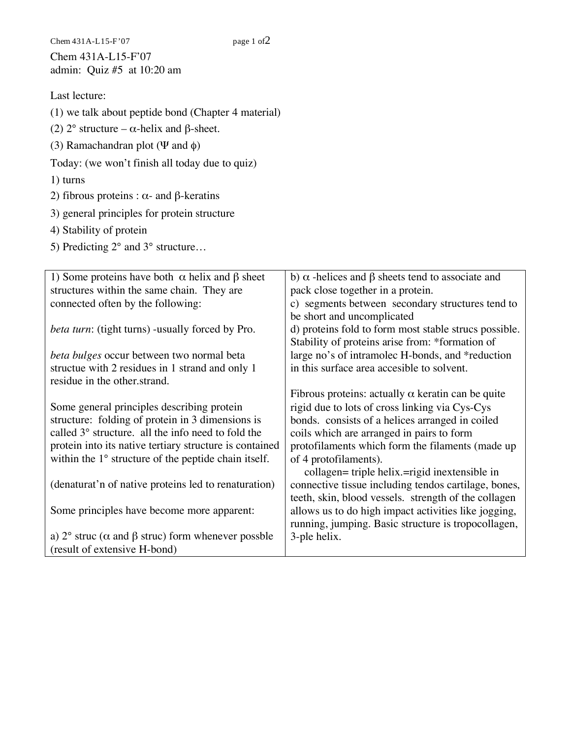Chem  $431A-L15-F'07$  page 1 of  $2$ Chem 431A-L15-F'07 admin: Quiz #5 at 10:20 am

## Last lecture:

(1) we talk about peptide bond (Chapter 4 material)

- (2)  $2^{\circ}$  structure  $\alpha$ -helix and  $\beta$ -sheet.
- (3) Ramachandran plot ( $\Psi$  and  $\phi$ )

Today: (we won't finish all today due to quiz)

- 1) turns
- 2) fibrous proteins :  $\alpha$  and  $\beta$ -keratins
- 3) general principles for protein structure
- 4) Stability of protein
- 5) Predicting  $2^{\circ}$  and  $3^{\circ}$  structure...

| 1) Some proteins have both $\alpha$ helix and $\beta$ sheet              | b) $\alpha$ -helices and $\beta$ sheets tend to associate and |
|--------------------------------------------------------------------------|---------------------------------------------------------------|
| structures within the same chain. They are                               | pack close together in a protein.                             |
| connected often by the following:                                        | c) segments between secondary structures tend to              |
|                                                                          | be short and uncomplicated                                    |
| <i>beta turn:</i> (tight turns) -usually forced by Pro.                  | d) proteins fold to form most stable strucs possible.         |
|                                                                          | Stability of proteins arise from: *formation of               |
| beta bulges occur between two normal beta                                | large no's of intramolec H-bonds, and *reduction              |
| structue with 2 residues in 1 strand and only 1                          | in this surface area accesible to solvent.                    |
| residue in the other strand.                                             |                                                               |
|                                                                          | Fibrous proteins: actually $\alpha$ keratin can be quite      |
| Some general principles describing protein                               | rigid due to lots of cross linking via Cys-Cys                |
| structure: folding of protein in 3 dimensions is                         | bonds. consists of a helices arranged in coiled               |
| called 3° structure. all the info need to fold the                       | coils which are arranged in pairs to form                     |
| protein into its native tertiary structure is contained                  | protofilaments which form the filaments (made up              |
| within the 1° structure of the peptide chain itself.                     | of 4 protofilaments).                                         |
|                                                                          | collagen= triple helix.=rigid inextensible in                 |
| (denaturat'n of native proteins led to renaturation)                     | connective tissue including tendos cartilage, bones,          |
|                                                                          | teeth, skin, blood vessels. strength of the collagen          |
| Some principles have become more apparent:                               | allows us to do high impact activities like jogging,          |
|                                                                          | running, jumping. Basic structure is tropocollagen,           |
| a) $2^{\circ}$ struc ( $\alpha$ and $\beta$ struc) form whenever possble | 3-ple helix.                                                  |
| (result of extensive H-bond)                                             |                                                               |